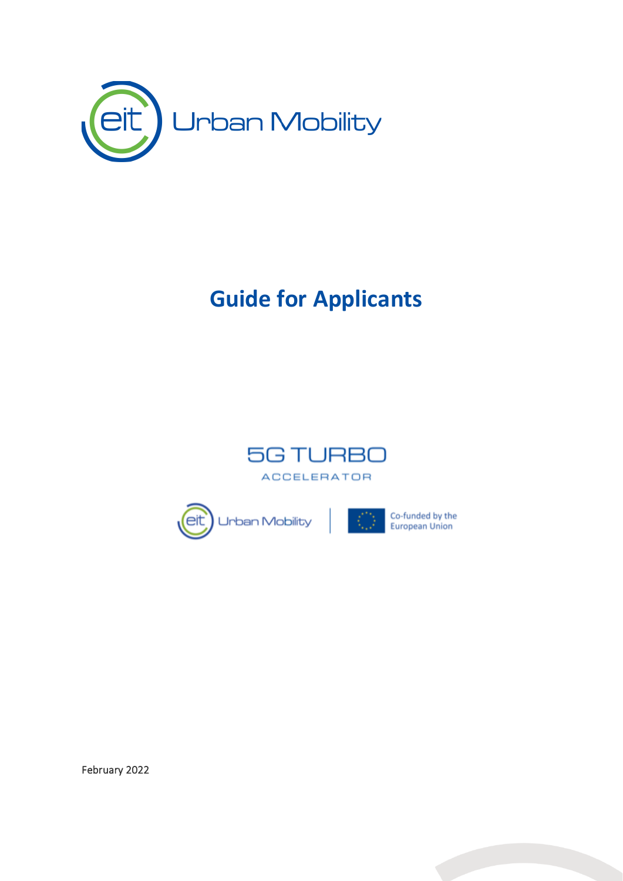

# **Guide for Applicants**



Co-funded by the<br>European Union



February 2022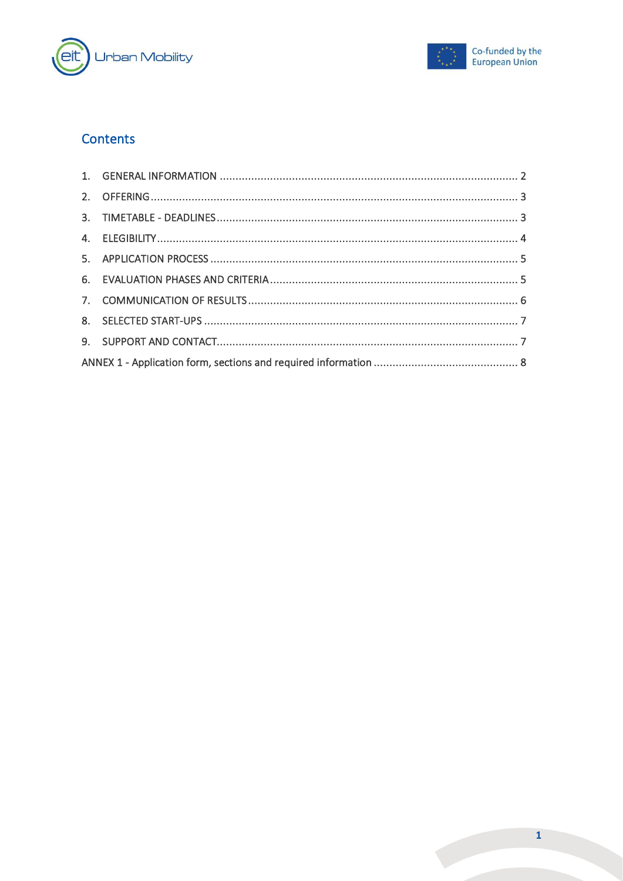



## Contents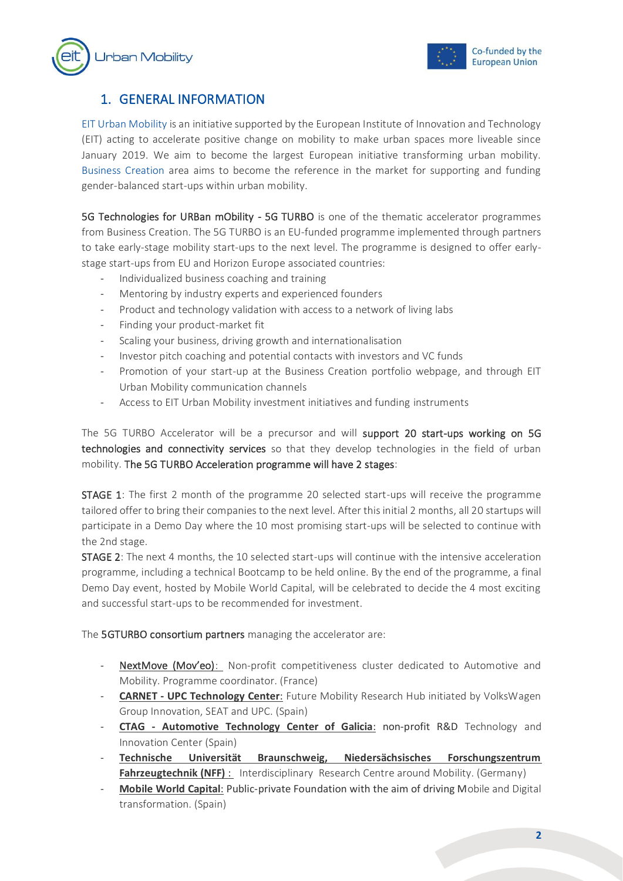



## <span id="page-2-0"></span>1. GENERAL INFORMATION

[EIT Urban Mobility](https://www.eiturbanmobility.eu/) is an initiative supported by the European Institute of Innovation and Technology (EIT) acting to accelerate positive change on mobility to make urban spaces more liveable since January 2019. We aim to become the largest European initiative transforming urban mobility. [Business Creation](https://www.eiturbanmobility.eu/business-creation/) area aims to become the reference in the market for supporting and funding gender-balanced start-ups within urban mobility.

5G Technologies for URBan mObility - 5G TURBO is one of the thematic accelerator programmes from Business Creation. The 5G TURBO is an EU-funded programme implemented through partners to take early-stage mobility start-ups to the next level. The programme is designed to offer earlystage start-ups from EU and Horizon Europe associated countries:

- Individualized business coaching and training
- Mentoring by industry experts and experienced founders
- Product and technology validation with access to a network of living labs
- Finding your product-market fit
- Scaling your business, driving growth and internationalisation
- Investor pitch coaching and potential contacts with investors and VC funds
- Promotion of your start-up at the Business Creation portfolio webpage, and through EIT Urban Mobility communication channels
- Access to EIT Urban Mobility investment initiatives and funding instruments

The 5G TURBO Accelerator will be a precursor and will support 20 start-ups working on 5G technologies and connectivity services so that they develop technologies in the field of urban mobility. The 5G TURBO Acceleration programme will have 2 stages:

STAGE 1: The first 2 month of the programme 20 selected start-ups will receive the programme tailored offer to bring their companies to the next level. After this initial 2 months, all 20 startups will participate in a Demo Day where the 10 most promising start-ups will be selected to continue with the 2nd stage.

STAGE 2: The next 4 months, the 10 selected start-ups will continue with the intensive acceleration programme, including a technical Bootcamp to be held online. By the end of the programme, a final Demo Day event, hosted by Mobile World Capital, will be celebrated to decide the 4 most exciting and successful start-ups to be recommended for investment.

The 5GTURBO consortium partners managing the accelerator are:

- NextMove (Mov'eo): Non-profit competitiveness cluster dedicated to Automotive and Mobility. Programme coordinator. (France)
- **CARNET - UPC Technology Center**: Future Mobility Research Hub initiated by VolksWagen Group Innovation, SEAT and UPC. (Spain)
- **CTAG - Automotive Technology Center of Galicia**: non-profit R&D Technology and Innovation Center (Spain)
- **Technische Universität Braunschweig, Niedersächsisches Forschungszentrum Fahrzeugtechnik (NFF)** : Interdisciplinary Research Centre around Mobility. (Germany)
- **Mobile World Capital**: Public-private Foundation with the aim of driving Mobile and Digital transformation. (Spain)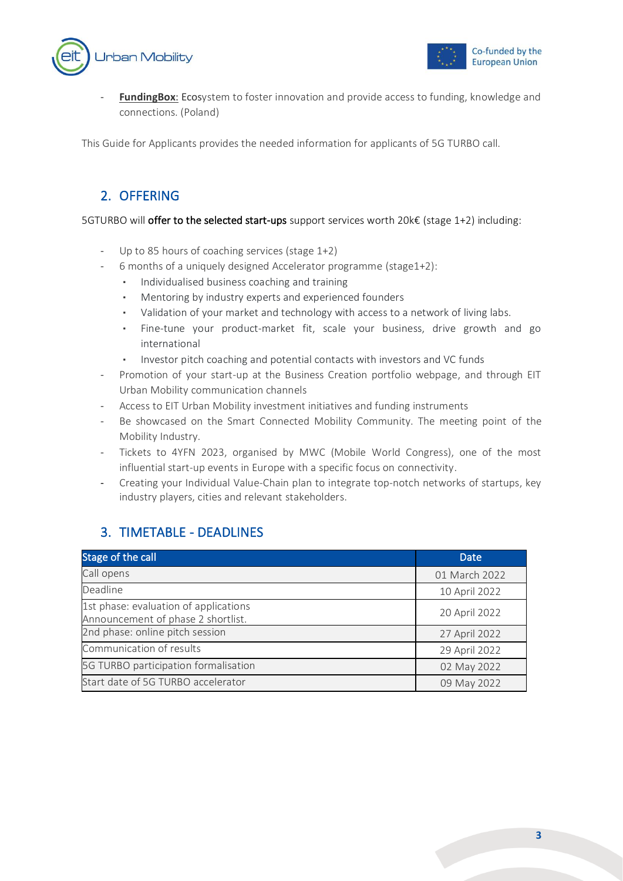



**FundingBox:** Ecosystem to foster innovation and provide access to funding, knowledge and connections. (Poland)

<span id="page-3-0"></span>This Guide for Applicants provides the needed information for applicants of 5G TURBO call.

#### 2. OFFERING

5GTURBO will offer to the selected start-ups support services worth 20k€ (stage 1+2) including:

- Up to 85 hours of coaching services (stage 1+2)
- 6 months of a uniquely designed Accelerator programme (stage1+2):
	- Individualised business coaching and training
	- Mentoring by industry experts and experienced founders
	- Validation of your market and technology with access to a network of living labs.
	- Fine-tune your product-market fit, scale your business, drive growth and go international
	- Investor pitch coaching and potential contacts with investors and VC funds
- Promotion of your start-up at the Business Creation portfolio webpage, and through EIT Urban Mobility communication channels
- Access to EIT Urban Mobility investment initiatives and funding instruments
- Be showcased on the Smart Connected Mobility Community. The meeting point of the Mobility Industry.
- Tickets to 4YFN 2023, organised by MWC (Mobile World Congress), one of the most influential start-up events in Europe with a specific focus on connectivity.
- Creating your Individual Value-Chain plan to integrate top-notch networks of startups, key industry players, cities and relevant stakeholders.

### <span id="page-3-1"></span>3. TIMETABLE - DEADLINES

| Stage of the call                                                           | <b>Date</b>   |
|-----------------------------------------------------------------------------|---------------|
| Call opens                                                                  | 01 March 2022 |
| Deadline                                                                    | 10 April 2022 |
| 1st phase: evaluation of applications<br>Announcement of phase 2 shortlist. | 20 April 2022 |
| 2nd phase: online pitch session                                             | 27 April 2022 |
| Communication of results                                                    | 29 April 2022 |
| 5G TURBO participation formalisation                                        | 02 May 2022   |
| Start date of 5G TURBO accelerator                                          | 09 May 2022   |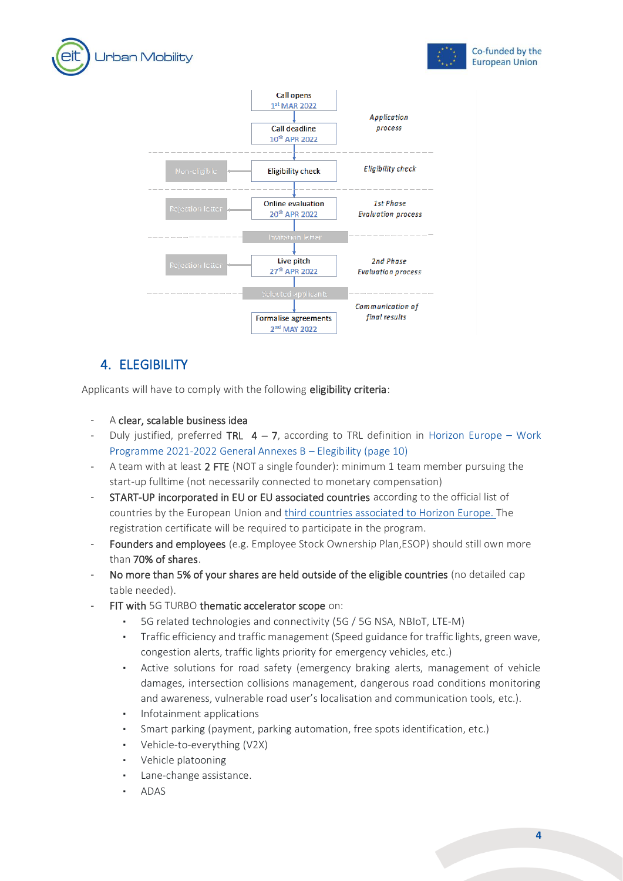





## <span id="page-4-0"></span>4. ELEGIBILITY

Applicants will have to comply with the following eligibility criteria:

- A clear, scalable business idea
- Duly justified, preferred TRL  $4 7$ , according to TRL definition in [Horizon Europe](https://ec.europa.eu/info/funding-tenders/opportunities/docs/2021-2027/horizon/wp-call/2021-2022/wp-13-general-annexes_horizon-2021-2022_en.pdf)  Work [Programme 2021-2022 General Annexes B](https://ec.europa.eu/info/funding-tenders/opportunities/docs/2021-2027/horizon/wp-call/2021-2022/wp-13-general-annexes_horizon-2021-2022_en.pdf) – Elegibility (page 10)
- A team with at least 2 FTE (NOT a single founder): minimum 1 team member pursuing the start-up fulltime (not necessarily connected to monetary compensation)
- START-UP incorporated in EU or EU associated countries according to the official list of countries by the European Union and [third countries associated to Horizon Europe.](https://ec.europa.eu/info/funding-tenders/opportunities/docs/2021-2027/common/guidance/list-3rd-country-participation_horizon-euratom_en.pdf) The registration certificate will be required to participate in the program.
- Founders and employees (e.g. Employee Stock Ownership Plan,ESOP) should still own more than 70% of shares.
- No more than 5% of your shares are held outside of the eligible countries (no detailed cap table needed).
- FIT with 5G TURBO thematic accelerator scope on:
	- 5G related technologies and connectivity (5G / 5G NSA, NBIoT, LTE-M)
	- Traffic efficiency and traffic management (Speed guidance for traffic lights, green wave, congestion alerts, traffic lights priority for emergency vehicles, etc.)
	- Active solutions for road safety (emergency braking alerts, management of vehicle damages, intersection collisions management, dangerous road conditions monitoring and awareness, vulnerable road user's localisation and communication tools, etc.).
	- Infotainment applications
	- Smart parking (payment, parking automation, free spots identification, etc.)
	- Vehicle-to-everything (V2X)
	- Vehicle platooning
	- Lane-change assistance.
	- **ADAS**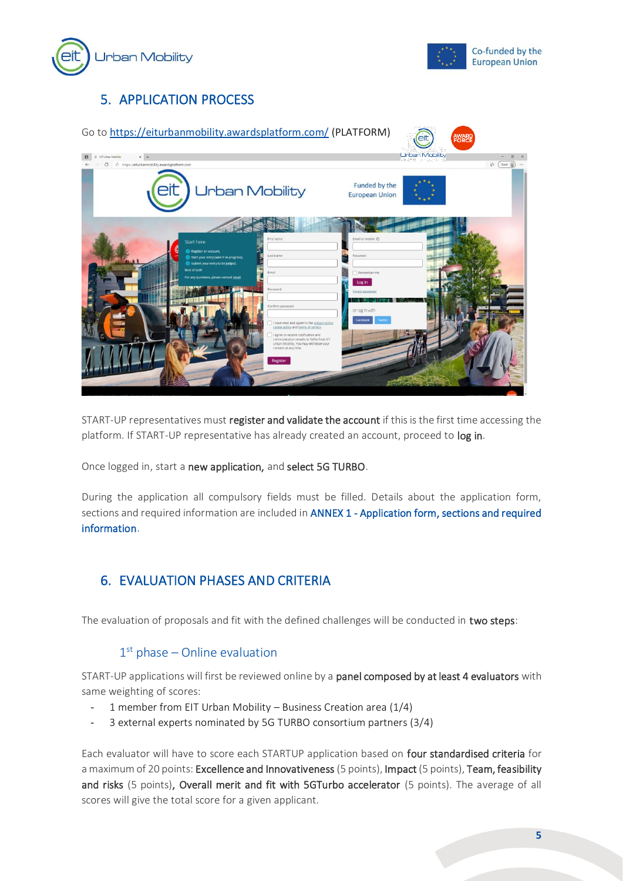



# <span id="page-5-0"></span>5. APPLICATION PROCESS

| Go to https://eiturbanmobility.awardsplatform.com/ (PLATFORM)                                                                     |                                                                                                                                                                                                                                                  |                                          | <b>AWARD</b>          |
|-----------------------------------------------------------------------------------------------------------------------------------|--------------------------------------------------------------------------------------------------------------------------------------------------------------------------------------------------------------------------------------------------|------------------------------------------|-----------------------|
| $\times$ +<br>EIT Urban Mobility                                                                                                  |                                                                                                                                                                                                                                                  |                                          | <b>Urban Mobility</b> |
| C @ https://eiturbanmobility.awardsplatform.com<br>en                                                                             | <b>Urban Mobility</b>                                                                                                                                                                                                                            | Funded by the<br><b>European Union</b>   | $\sqrt{n}$ (Guest     |
| Start here<br>Register an account.<br>Start your entry (save it in-progress).<br>Submit your entry to be judged.<br>Best of luck! | First name<br>Last name<br>Email                                                                                                                                                                                                                 | Email or mobile $O$<br>Password          |                       |
| For any questions, please contact email                                                                                           | Password<br>Confirm password                                                                                                                                                                                                                     | Remember me<br>Log in<br>Forgot password |                       |
|                                                                                                                                   | I have read and agree to the privacy policy.<br>cookie policy and terms of service.<br>I agree to receive notification and<br>communication emails or SMSs from EIT<br>Urban Mobility. You may withdraw your<br>consent at any time.<br>Register | or log in with<br>Facebook<br>Witte      |                       |

START-UP representatives must register and validate the account if this is the first time accessing the platform. If START-UP representative has already created an account, proceed to log in.

Once logged in, start a new application, and select 5G TURBO.

During the application all compulsory fields must be filled. Details about the application form, sections and required information are included in [ANNEX 1 - Application form, sections and required](#page-8-0)  [information.](#page-8-0)

## <span id="page-5-1"></span>6. EVALUATION PHASES AND CRITERIA

The evaluation of proposals and fit with the defined challenges will be conducted in two steps:

#### 1 st phase – Online evaluation

START-UP applications will first be reviewed online by a panel composed by at least 4 evaluators with same weighting of scores:

- 1 member from EIT Urban Mobility Business Creation area (1/4)
- 3 external experts nominated by 5G TURBO consortium partners (3/4)

Each evaluator will have to score each STARTUP application based on four standardised criteria for a maximum of 20 points: Excellence and Innovativeness (5 points), Impact (5 points), Team, feasibility and risks (5 points), Overall merit and fit with 5GTurbo accelerator (5 points). The average of all scores will give the total score for a given applicant.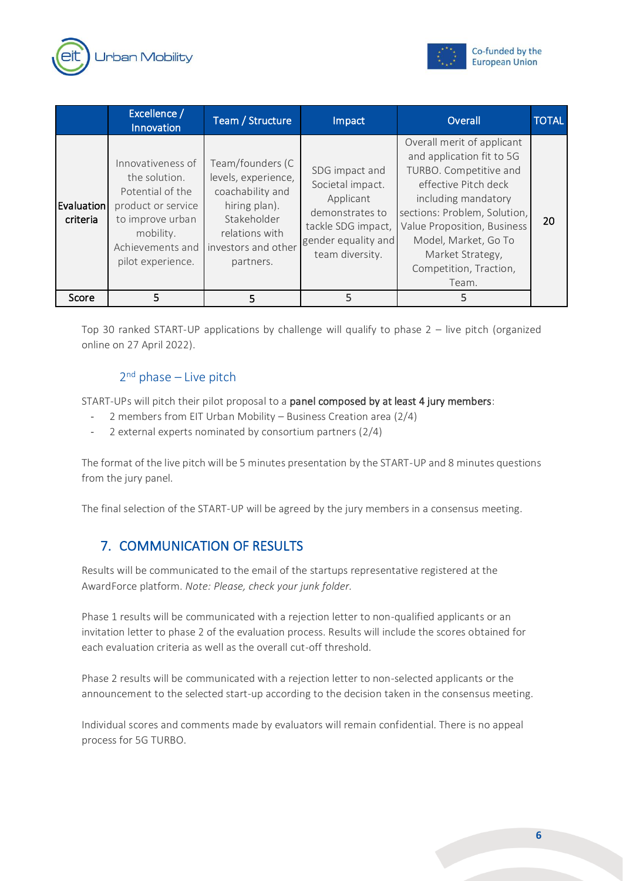



|                               | Excellence /<br><b>Innovation</b>                                                                                                                      | Team / Structure                                                                                                                                  | Impact                                                                                                                             | Overall                                                                                                                                                                                                                                                                        | <b>TOTAL</b> |
|-------------------------------|--------------------------------------------------------------------------------------------------------------------------------------------------------|---------------------------------------------------------------------------------------------------------------------------------------------------|------------------------------------------------------------------------------------------------------------------------------------|--------------------------------------------------------------------------------------------------------------------------------------------------------------------------------------------------------------------------------------------------------------------------------|--------------|
| <b>Evaluation</b><br>criteria | Innovativeness of<br>the solution.<br>Potential of the<br>product or service<br>to improve urban<br>mobility.<br>Achievements and<br>pilot experience. | Team/founders (C<br>levels, experience,<br>coachability and<br>hiring plan).<br>Stakeholder<br>relations with<br>investors and other<br>partners. | SDG impact and<br>Societal impact.<br>Applicant<br>demonstrates to<br>tackle SDG impact,<br>gender equality and<br>team diversity. | Overall merit of applicant<br>and application fit to 5G<br>TURBO. Competitive and<br>effective Pitch deck<br>including mandatory<br>sections: Problem, Solution,<br>Value Proposition, Business<br>Model, Market, Go To<br>Market Strategy,<br>Competition, Traction,<br>Team. | 20           |
| Score                         | 5                                                                                                                                                      | 5                                                                                                                                                 | 5                                                                                                                                  | 5                                                                                                                                                                                                                                                                              |              |

Top 30 ranked START-UP applications by challenge will qualify to phase 2 – live pitch (organized online on 27 April 2022).

#### 2<sup>nd</sup> phase - Live pitch

START-UPs will pitch their pilot proposal to a panel composed by at least 4 jury members:

- 2 members from EIT Urban Mobility Business Creation area (2/4)
- 2 external experts nominated by consortium partners (2/4)

The format of the live pitch will be 5 minutes presentation by the START-UP and 8 minutes questions from the jury panel.

<span id="page-6-0"></span>The final selection of the START-UP will be agreed by the jury members in a consensus meeting.

## 7. COMMUNICATION OF RESULTS

Results will be communicated to the email of the startups representative registered at the AwardForce platform. *Note: Please, check your junk folder.*

Phase 1 results will be communicated with a rejection letter to non-qualified applicants or an invitation letter to phase 2 of the evaluation process. Results will include the scores obtained for each evaluation criteria as well as the overall cut-off threshold.

Phase 2 results will be communicated with a rejection letter to non-selected applicants or the announcement to the selected start-up according to the decision taken in the consensus meeting.

Individual scores and comments made by evaluators will remain confidential. There is no appeal process for 5G TURBO.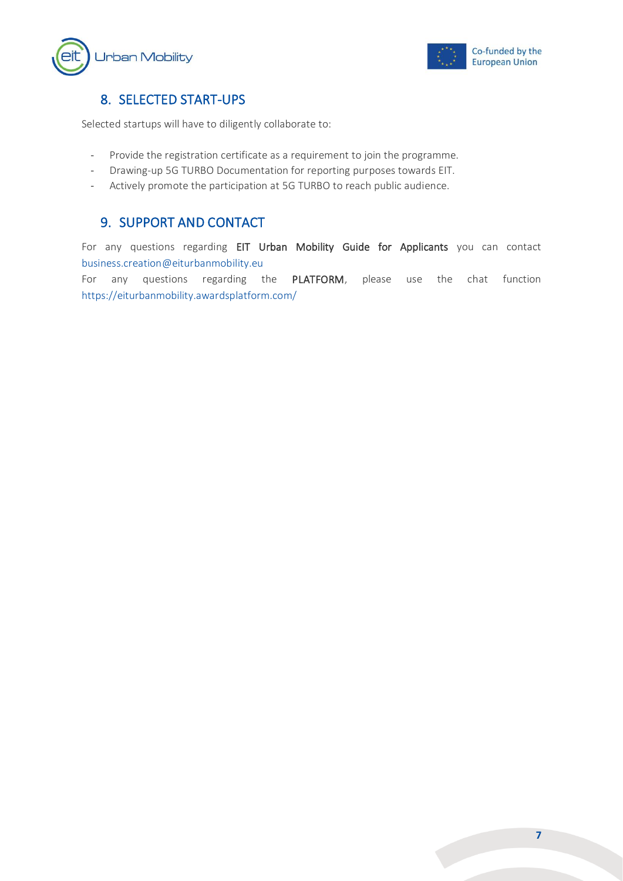



#### <span id="page-7-0"></span>8. SELECTED START-UPS

Selected startups will have to diligently collaborate to:

- Provide the registration certificate as a requirement to join the programme.
- Drawing-up 5G TURBO Documentation for reporting purposes towards EIT.
- <span id="page-7-1"></span>Actively promote the participation at 5G TURBO to reach public audience.

### 9. SUPPORT AND CONTACT

For any questions regarding EIT Urban Mobility Guide for Applicants you can contact [business.creation@eiturbanmobility.eu](mailto:business.creation@eiturbanmobility.eu)

For any questions regarding the PLATFORM, please use the chat function <https://eiturbanmobility.awardsplatform.com/>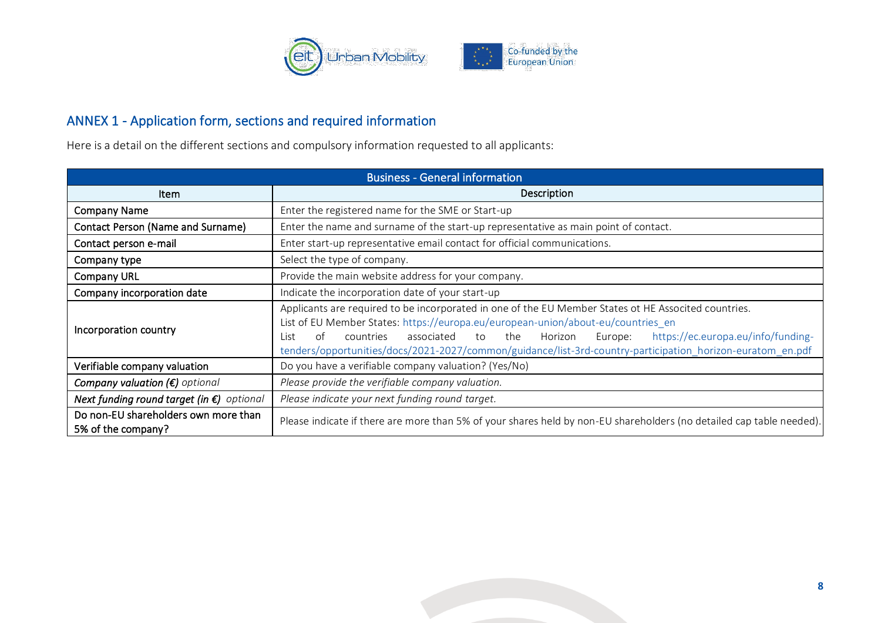

## ANNEX 1 - Application form, sections and required information

Here is a detail on the different sections and compulsory information requested to all applicants:

<span id="page-8-0"></span>

| <b>Business - General information</b>                      |                                                                                                                                                                                                                                                                                                                                                                                                                            |  |  |
|------------------------------------------------------------|----------------------------------------------------------------------------------------------------------------------------------------------------------------------------------------------------------------------------------------------------------------------------------------------------------------------------------------------------------------------------------------------------------------------------|--|--|
| <b>Item</b>                                                | Description                                                                                                                                                                                                                                                                                                                                                                                                                |  |  |
| <b>Company Name</b>                                        | Enter the registered name for the SME or Start-up                                                                                                                                                                                                                                                                                                                                                                          |  |  |
| <b>Contact Person (Name and Surname)</b>                   | Enter the name and surname of the start-up representative as main point of contact.                                                                                                                                                                                                                                                                                                                                        |  |  |
| Contact person e-mail                                      | Enter start-up representative email contact for official communications.                                                                                                                                                                                                                                                                                                                                                   |  |  |
| Company type                                               | Select the type of company.                                                                                                                                                                                                                                                                                                                                                                                                |  |  |
| <b>Company URL</b>                                         | Provide the main website address for your company.                                                                                                                                                                                                                                                                                                                                                                         |  |  |
| Company incorporation date                                 | Indicate the incorporation date of your start-up                                                                                                                                                                                                                                                                                                                                                                           |  |  |
| Incorporation country                                      | Applicants are required to be incorporated in one of the EU Member States ot HE Associted countries.<br>List of EU Member States: https://europa.eu/european-union/about-eu/countries_en<br>https://ec.europa.eu/info/funding-<br>of<br>associated<br>Horizon<br>countries<br>the<br>Europe:<br>to<br>l ist.<br>tenders/opportunities/docs/2021-2027/common/guidance/list-3rd-country-participation_horizon-euratom_en.pdf |  |  |
| Verifiable company valuation                               | Do you have a verifiable company valuation? (Yes/No)                                                                                                                                                                                                                                                                                                                                                                       |  |  |
| Company valuation $(\epsilon)$ optional                    | Please provide the verifiable company valuation.                                                                                                                                                                                                                                                                                                                                                                           |  |  |
| Next funding round target (in $\epsilon$ ) optional        | Please indicate your next funding round target.                                                                                                                                                                                                                                                                                                                                                                            |  |  |
| Do non-EU shareholders own more than<br>5% of the company? | Please indicate if there are more than 5% of your shares held by non-EU shareholders (no detailed cap table needed).                                                                                                                                                                                                                                                                                                       |  |  |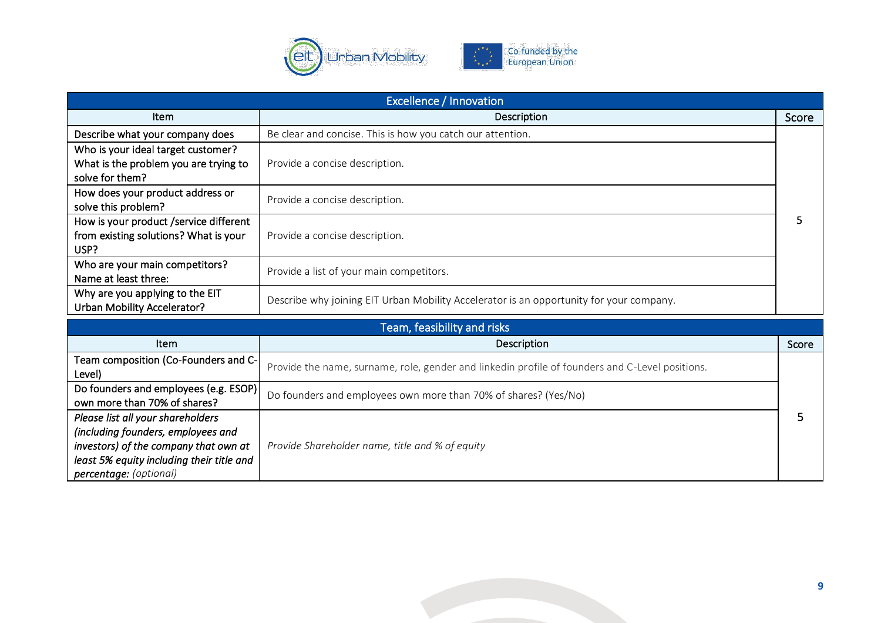

| <b>Excellence / Innovation</b>                                                                                   |                                                                                                 |       |  |
|------------------------------------------------------------------------------------------------------------------|-------------------------------------------------------------------------------------------------|-------|--|
| Item                                                                                                             | Description                                                                                     | Score |  |
| Describe what your company does                                                                                  | Be clear and concise. This is how you catch our attention.                                      |       |  |
| Who is your ideal target customer?<br>What is the problem you are trying to<br>solve for them?                   | Provide a concise description.                                                                  |       |  |
| How does your product address or<br>solve this problem?                                                          | Provide a concise description.                                                                  |       |  |
| How is your product /service different<br>from existing solutions? What is your<br>USP?                          | Provide a concise description.                                                                  |       |  |
| Who are your main competitors?<br>Name at least three:                                                           | Provide a list of your main competitors.                                                        |       |  |
| Why are you applying to the EIT<br><b>Urban Mobility Accelerator?</b>                                            | Describe why joining EIT Urban Mobility Accelerator is an opportunity for your company.         |       |  |
| Team, feasibility and risks                                                                                      |                                                                                                 |       |  |
| Item                                                                                                             | Description                                                                                     | Score |  |
| Team composition (Co-Founders and C-<br>Level)                                                                   | Provide the name, surname, role, gender and linkedin profile of founders and C-Level positions. |       |  |
| Do founders and employees (e.g. ESOP)<br>own more than 70% of shares?                                            | Do founders and employees own more than 70% of shares? (Yes/No)                                 |       |  |
| Please list all your shareholders<br>(including founders, employees and<br>investors) of the company that own at | Provide Shareholder name, title and % of equity                                                 | 5     |  |

*least 5% equity including their title and* 

*percentage: (optional)*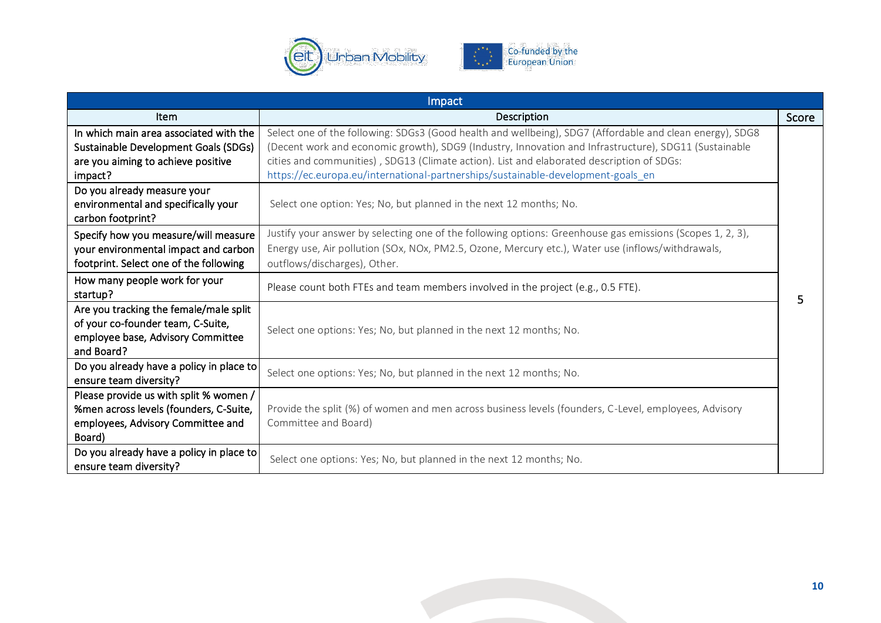



| Impact                                                                                                                                 |                                                                                                                                                                                                                                                                                                                                                                                                    |       |  |
|----------------------------------------------------------------------------------------------------------------------------------------|----------------------------------------------------------------------------------------------------------------------------------------------------------------------------------------------------------------------------------------------------------------------------------------------------------------------------------------------------------------------------------------------------|-------|--|
| Item                                                                                                                                   | Description                                                                                                                                                                                                                                                                                                                                                                                        | Score |  |
| In which main area associated with the<br><b>Sustainable Development Goals (SDGs)</b><br>are you aiming to achieve positive<br>impact? | Select one of the following: SDGs3 (Good health and wellbeing), SDG7 (Affordable and clean energy), SDG8<br>(Decent work and economic growth), SDG9 (Industry, Innovation and Infrastructure), SDG11 (Sustainable<br>cities and communities), SDG13 (Climate action). List and elaborated description of SDGs:<br>https://ec.europa.eu/international-partnerships/sustainable-development-goals_en |       |  |
| Do you already measure your<br>environmental and specifically your<br>carbon footprint?                                                | Select one option: Yes; No, but planned in the next 12 months; No.                                                                                                                                                                                                                                                                                                                                 |       |  |
| Specify how you measure/will measure<br>your environmental impact and carbon<br>footprint. Select one of the following                 | Justify your answer by selecting one of the following options: Greenhouse gas emissions (Scopes 1, 2, 3),<br>Energy use, Air pollution (SOx, NOx, PM2.5, Ozone, Mercury etc.), Water use (inflows/withdrawals,<br>outflows/discharges), Other.                                                                                                                                                     |       |  |
| How many people work for your<br>startup?                                                                                              | Please count both FTEs and team members involved in the project (e.g., 0.5 FTE).                                                                                                                                                                                                                                                                                                                   | 5.    |  |
| Are you tracking the female/male split<br>of your co-founder team, C-Suite,<br>employee base, Advisory Committee<br>and Board?         | Select one options: Yes; No, but planned in the next 12 months; No.                                                                                                                                                                                                                                                                                                                                |       |  |
| Do you already have a policy in place to<br>ensure team diversity?                                                                     | Select one options: Yes; No, but planned in the next 12 months; No.                                                                                                                                                                                                                                                                                                                                |       |  |
| Please provide us with split % women /<br>%men across levels (founders, C-Suite,<br>employees, Advisory Committee and<br>Board)        | Provide the split (%) of women and men across business levels (founders, C-Level, employees, Advisory<br>Committee and Board)                                                                                                                                                                                                                                                                      |       |  |
| Do you already have a policy in place to<br>ensure team diversity?                                                                     | Select one options: Yes; No, but planned in the next 12 months; No.                                                                                                                                                                                                                                                                                                                                |       |  |